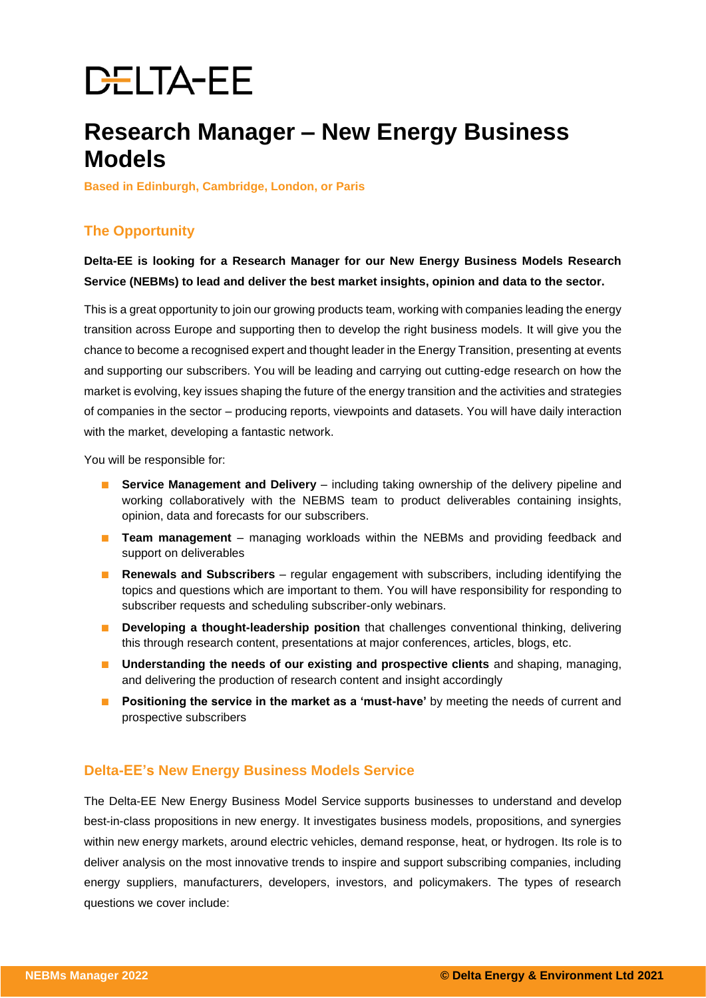# **DELTA-EE**

# **Research Manager – New Energy Business Models**

**Based in Edinburgh, Cambridge, London, or Paris**

# **The Opportunity**

**Delta-EE is looking for a Research Manager for our New Energy Business Models Research Service (NEBMs) to lead and deliver the best market insights, opinion and data to the sector.** 

This is a great opportunity to join our growing products team, working with companies leading the energy transition across Europe and supporting then to develop the right business models. It will give you the chance to become a recognised expert and thought leader in the Energy Transition, presenting at events and supporting our subscribers. You will be leading and carrying out cutting-edge research on how the market is evolving, key issues shaping the future of the energy transition and the activities and strategies of companies in the sector – producing reports, viewpoints and datasets. You will have daily interaction with the market, developing a fantastic network.

You will be responsible for:

- **Service Management and Delivery** including taking ownership of the delivery pipeline and working collaboratively with the NEBMS team to product deliverables containing insights, opinion, data and forecasts for our subscribers.
- **Team management** managing workloads within the NEBMs and providing feedback and support on deliverables
- **Renewals and Subscribers** regular engagement with subscribers, including identifying the topics and questions which are important to them. You will have responsibility for responding to subscriber requests and scheduling subscriber-only webinars.
- **Developing a thought-leadership position** that challenges conventional thinking, delivering this through research content, presentations at major conferences, articles, blogs, etc.
- **Understanding the needs of our existing and prospective clients** and shaping, managing, and delivering the production of research content and insight accordingly
- **Positioning the service in the market as a 'must-have'** by meeting the needs of current and prospective subscribers

# **Delta-EE's New Energy Business Models Service**

The Delta-EE New Energy Business Model Service supports businesses to understand and develop best-in-class propositions in new energy. It investigates business models, propositions, and synergies within new energy markets, around electric vehicles, demand response, heat, or hydrogen. Its role is to deliver analysis on the most innovative trends to inspire and support subscribing companies, including energy suppliers, manufacturers, developers, investors, and policymakers. The types of research questions we cover include: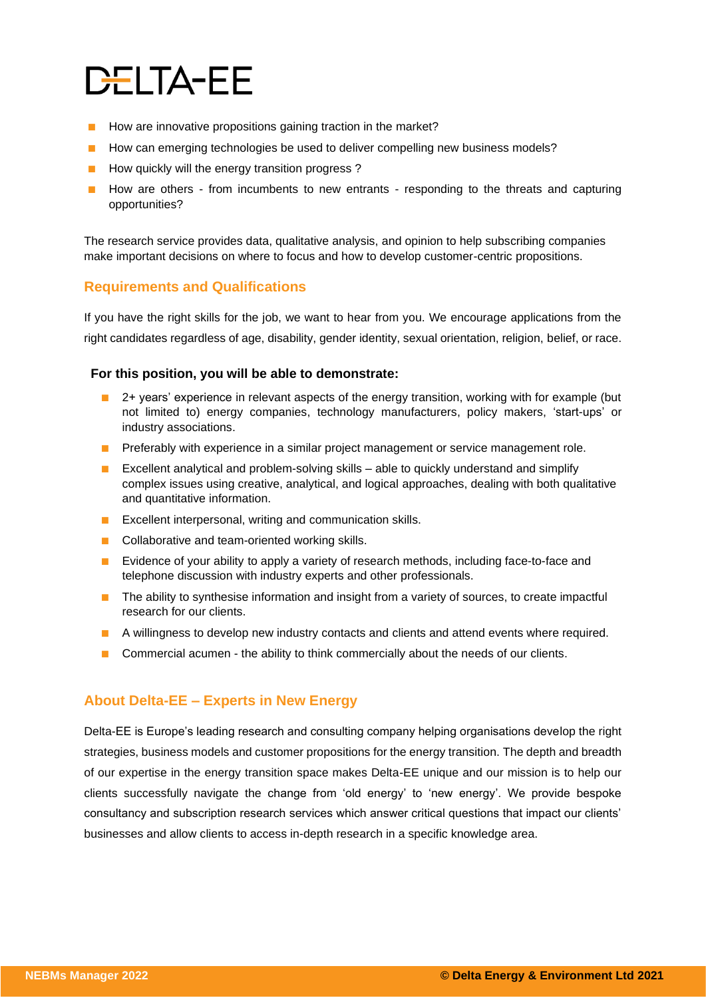# DELTA-EE

- How are innovative propositions gaining traction in the market?
- How can emerging technologies be used to deliver compelling new business models?
- How quickly will the energy transition progress ?
- How are others from incumbents to new entrants responding to the threats and capturing opportunities?

The research service provides data, qualitative analysis, and opinion to help subscribing companies make important decisions on where to focus and how to develop customer-centric propositions.

### **Requirements and Qualifications**

If you have the right skills for the job, we want to hear from you. We encourage applications from the right candidates regardless of age, disability, gender identity, sexual orientation, religion, belief, or race.

#### **For this position, you will be able to demonstrate:**

- 2+ years' experience in relevant aspects of the energy transition, working with for example (but not limited to) energy companies, technology manufacturers, policy makers, 'start-ups' or industry associations.
- **■** Preferably with experience in a similar project management or service management role.
- Excellent analytical and problem-solving skills able to quickly understand and simplify complex issues using creative, analytical, and logical approaches, dealing with both qualitative and quantitative information.
- Excellent interpersonal, writing and communication skills.
- Collaborative and team-oriented working skills.
- Evidence of your ability to apply a variety of research methods, including face-to-face and telephone discussion with industry experts and other professionals.
- The ability to synthesise information and insight from a variety of sources, to create impactful research for our clients.
- A willingness to develop new industry contacts and clients and attend events where required.
- Commercial acumen the ability to think commercially about the needs of our clients.

# **About Delta-EE – Experts in New Energy**

Delta-EE is Europe's leading research and consulting company helping organisations develop the right strategies, business models and customer propositions for the energy transition. The depth and breadth of our expertise in the energy transition space makes Delta-EE unique and our mission is to help our clients successfully navigate the change from 'old energy' to 'new energy'. We provide bespoke consultancy and subscription research services which answer critical questions that impact our clients' businesses and allow clients to access in-depth research in a specific knowledge area.